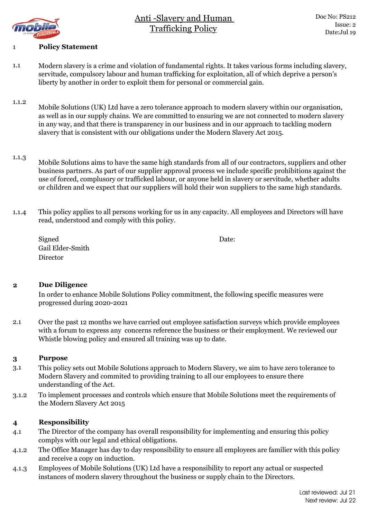



## 1 **Policy Statement**

- 1.1 Modern slavery is a crime and violation of fundamental rights. It takes various forms including slavery, servitude, compulsory labour and human trafficking for exploitation, all of which deprive a person's liberty by another in order to exploit them for personal or commercial gain.
- 1.1.2 Mobile Solutions (UK) Ltd have a zero tolerance approach to modern slavery within our organisation, as well as in our supply chains. We are committed to ensuring we are not connected to modern slavery in any way, and that there is transparency in our business and in our approach to tackling modern slavery that is consistent with our obligations under the Modern Slavery Act 2015.
- 1.1.3 Mobile Solutions aims to have the same high standards from all of our contractors, suppliers and other business partners. As part of our supplier approval process we include specific prohibitions against the use of forced, complusory or trafficked labour, or anyone held in slavery or servitude, whether adults or children and we expect that our suppliers will hold their won suppliers to the same high standards.
- 1.1.4 This policy applies to all persons working for us in any capacity. All employees and Directors will have read, understood and comply with this policy.

| Signed           | Date: |
|------------------|-------|
| Gail Elder-Smith |       |
| Director         |       |

### **2 Due Diligence**

In order to enhance Mobile Solutions Policy commitment, the following specific measures were progressed during 2020-2021

2.1 Over the past 12 months we have carried out employee satisfaction surveys which provide employees with a forum to express any concerns reference the business or their employment. We reviewed our Whistle blowing policy and ensured all training was up to date.

### **3 Purpose**

- 3.1 This policy sets out Mobile Solutions approach to Modern Slavery, we aim to have zero tolerance to Modern Slavery and commited to providing training to all our employees to ensure there understanding of the Act.
- 3.1.2 To implement processes and controls which ensure that Mobile Solutions meet the requirements of the Modern Slavery Act 2015

### **4 Responsibility**

- 4.1 The Director of the company has overall responsibility for implementing and ensuring this policy complys with our legal and ethical obligations.
- 4.1.2 The Office Manager has day to day responsibility to ensure all employees are familier with this policy and receive a copy on induction.
- 4.1.3 Employees of Mobile Solutions (UK) Ltd have a responsibility to report any actual or suspected instances of modern slavery throughout the business or supply chain to the Directors.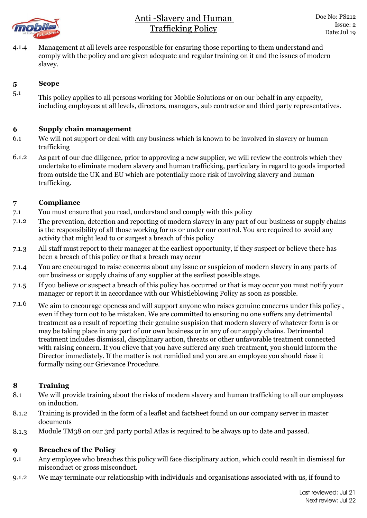

4.1.4 Management at all levels aree responsible for ensuring those reporting to them understand and comply with the policy and are given adequate and regular training on it and the issues of modern slavey.

# **5 Scope**

5.1 This policy applies to all persons working for Mobile Solutions or on our behalf in any capacity, including employees at all levels, directors, managers, sub contractor and third party representatives.

### **6 Supply chain management**

- 6.1 We will not support or deal with any business which is known to be involved in slavery or human trafficking
- 6.1.2 As part of our due diligence, prior to approving a new supplier, we will review the controls which they undertake to eliminate modern slavery and human trafficking, particulary in regard to goods imported from outside the UK and EU which are potentially more risk of involving slavery and human trafficking.

## **7 Compliance**

- 7.1 You must ensure that you read, understand and comply with this policy
- 7.1.2 The prevention, detection and reporting of modern slavery in any part of our business or supply chains is the responsibility of all those working for us or under our control. You are required to avoid any activity that might lead to or surgest a breach of this policy
- 7.1.3 All staff must report to their manager at the earliest opportunity, if they suspect or believe there has been a breach of this policy or that a breach may occur
- 7.1.4 You are encouraged to raise concerns about any issue or suspicion of modern slavery in any parts of our business or supply chains of any supplier at the earliest possible stage.
- 7.1.5 If you believe or suspect a breach of this policy has occurred or that is may occur you must notify your manager or report it in accordance with our Whistleblowing Policy as soon as possible.
- 7.1.6 We aim to encourage openess and will support anyone who raises genuine concerns under this policy , even if they turn out to be mistaken. We are committed to ensuring no one suffers any detrimental treatment as a result of reporting their genuine suspision that modern slavery of whatever form is or may be taking place in any part of our own business or in any of our supply chains. Detrimental treatment includes dismissal, disciplinary action, threats or other unfavorable treatment connected with raising concern. If you elieve that you have suffered any such treatment, you should inform the Director immediately. If the matter is not remidied and you are an employee you should riase it formally using our Grievance Procedure.

## **8 Training**

- 8.1 We will provide training about the risks of modern slavery and human trafficking to all our employees on induction.
- 8.1.2 Training is provided in the form of a leaflet and factsheet found on our company server in master documents
- 8.1.3 Module TM38 on our 3rd party portal Atlas is required to be always up to date and passed.

## **9 Breaches of the Policy**

- 9.1 Any employee who breaches this policy will face disciplinary action, which could result in dismissal for misconduct or gross misconduct.
- 9.1.2 We may terminate our relationship with individuals and organisations associated with us, if found to